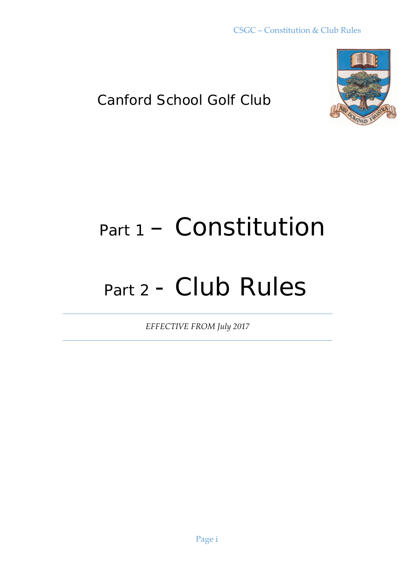## Canford School Golf Club

# Part 1 – Constitution

## Part 2 - Club Rules

*EFFECTIVE FROM July 2017*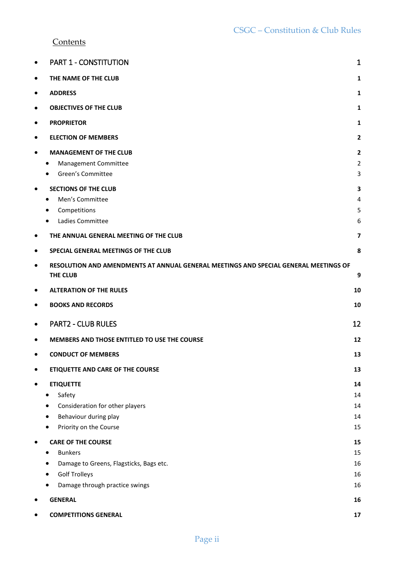#### **Contents**

| $\bullet$ | PART 1 - CONSTITUTION                                                                                                                            | $\mathbf{1}$                        |
|-----------|--------------------------------------------------------------------------------------------------------------------------------------------------|-------------------------------------|
| ٠         | THE NAME OF THE CLUB                                                                                                                             | $\mathbf{1}$                        |
| ٠         | <b>ADDRESS</b>                                                                                                                                   | $\mathbf{1}$                        |
| ٠         | <b>OBJECTIVES OF THE CLUB</b>                                                                                                                    | 1                                   |
| ٠         | <b>PROPRIETOR</b>                                                                                                                                | 1                                   |
| $\bullet$ | <b>ELECTION OF MEMBERS</b>                                                                                                                       | $\mathbf{2}$                        |
| $\bullet$ | <b>MANAGEMENT OF THE CLUB</b><br>Management Committee<br>Green's Committee                                                                       | $\mathbf{2}$<br>$\overline{2}$<br>3 |
| $\bullet$ | <b>SECTIONS OF THE CLUB</b><br>Men's Committee<br>Competitions<br>Ladies Committee<br>$\bullet$                                                  | 3<br>4<br>5<br>6                    |
| $\bullet$ | THE ANNUAL GENERAL MEETING OF THE CLUB                                                                                                           | 7                                   |
| $\bullet$ | SPECIAL GENERAL MEETINGS OF THE CLUB                                                                                                             | 8                                   |
| $\bullet$ | RESOLUTION AND AMENDMENTS AT ANNUAL GENERAL MEETINGS AND SPECIAL GENERAL MEETINGS OF<br>THE CLUB                                                 | $\boldsymbol{9}$                    |
| ٠         | <b>ALTERATION OF THE RULES</b>                                                                                                                   | 10                                  |
| $\bullet$ | <b>BOOKS AND RECORDS</b>                                                                                                                         | 10                                  |
| ٠         | <b>PART2 - CLUB RULES</b>                                                                                                                        | 12                                  |
| ٠         | MEMBERS AND THOSE ENTITLED TO USE THE COURSE                                                                                                     | 12                                  |
| $\bullet$ | <b>CONDUCT OF MEMBERS</b>                                                                                                                        | 13                                  |
|           | ETIQUETTE AND CARE OF THE COURSE                                                                                                                 | 13                                  |
| $\bullet$ | <b>ETIQUETTE</b><br>Safety<br>Consideration for other players<br>Behaviour during play<br>Priority on the Course                                 | 14<br>14<br>14<br>14<br>15          |
|           | <b>CARE OF THE COURSE</b><br><b>Bunkers</b><br>Damage to Greens, Flagsticks, Bags etc.<br><b>Golf Trolleys</b><br>Damage through practice swings | 15<br>15<br>16<br>16<br>16          |
|           | <b>GENERAL</b>                                                                                                                                   | 16                                  |
|           | <b>COMPETITIONS GENERAL</b>                                                                                                                      | 17                                  |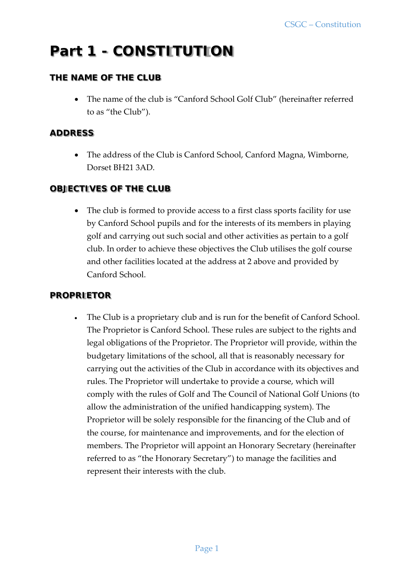## <span id="page-2-0"></span>**Part 1 - CONSTITUTION**

#### <span id="page-2-1"></span>**THE NAME OF THE CLUB**

• The name of the club is "Canford School Golf Club" (hereinafter referred to as "the Club").

#### <span id="page-2-2"></span>**ADDRESS**

• The address of the Club is Canford School, Canford Magna, Wimborne, Dorset BH21 3AD.

#### <span id="page-2-3"></span>**OBJECTIVES OF THE CLUB**

• The club is formed to provide access to a first class sports facility for use by Canford School pupils and for the interests of its members in playing golf and carrying out such social and other activities as pertain to a golf club. In order to achieve these objectives the Club utilises the golf course and other facilities located at the address at 2 above and provided by Canford School.

#### <span id="page-2-4"></span>**PROPRIETOR**

The Club is a proprietary club and is run for the benefit of Canford School. The Proprietor is Canford School. These rules are subject to the rights and legal obligations of the Proprietor. The Proprietor will provide, within the budgetary limitations of the school, all that is reasonably necessary for carrying out the activities of the Club in accordance with its objectives and rules. The Proprietor will undertake to provide a course, which will comply with the rules of Golf and The Council of National Golf Unions (to allow the administration of the unified handicapping system). The Proprietor will be solely responsible for the financing of the Club and of the course, for maintenance and improvements, and for the election of members. The Proprietor will appoint an Honorary Secretary (hereinafter referred to as "the Honorary Secretary") to manage the facilities and represent their interests with the club.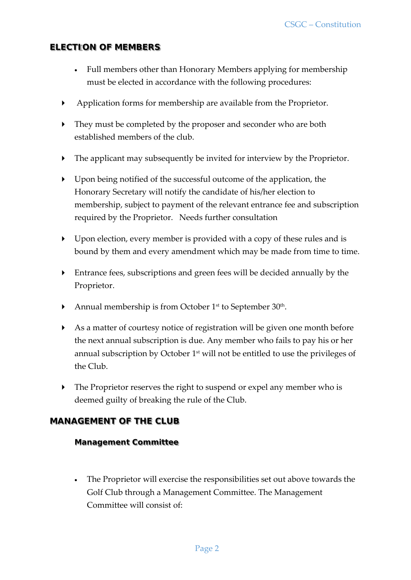#### <span id="page-3-0"></span>**ELECTION OF MEMBERS**

- Full members other than Honorary Members applying for membership must be elected in accordance with the following procedures:
- Application forms for membership are available from the Proprietor.
- They must be completed by the proposer and seconder who are both established members of the club.
- The applicant may subsequently be invited for interview by the Proprietor.
- Upon being notified of the successful outcome of the application, the Honorary Secretary will notify the candidate of his/her election to membership, subject to payment of the relevant entrance fee and subscription required by the Proprietor. Needs further consultation
- Upon election, every member is provided with a copy of these rules and is bound by them and every amendment which may be made from time to time.
- Entrance fees, subscriptions and green fees will be decided annually by the Proprietor.
- Annual membership is from October  $1<sup>st</sup>$  to September  $30<sup>th</sup>$ .
- As a matter of courtesy notice of registration will be given one month before the next annual subscription is due. Any member who fails to pay his or her annual subscription by October 1<sup>st</sup> will not be entitled to use the privileges of the Club.
- The Proprietor reserves the right to suspend or expel any member who is deemed guilty of breaking the rule of the Club.

#### <span id="page-3-2"></span><span id="page-3-1"></span>**MANAGEMENT OF THE CLUB**

#### **Management Committee**

• The Proprietor will exercise the responsibilities set out above towards the Golf Club through a Management Committee. The Management Committee will consist of: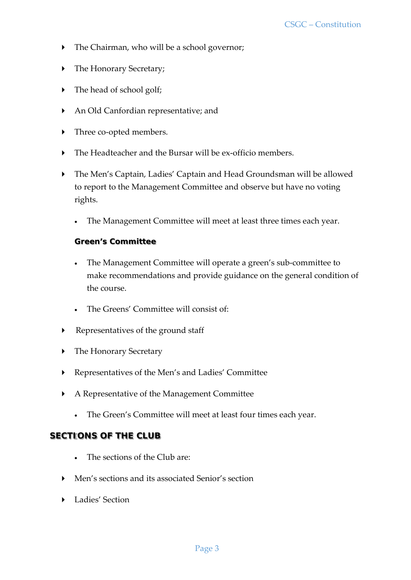- The Chairman, who will be a school governor;
- ▶ The Honorary Secretary;
- The head of school golf;
- An Old Canfordian representative; and
- Three co-opted members.
- The Headteacher and the Bursar will be ex-officio members.
- The Men's Captain, Ladies' Captain and Head Groundsman will be allowed to report to the Management Committee and observe but have no voting rights.
	- The Management Committee will meet at least three times each year.

#### <span id="page-4-0"></span>**Green's Committee**

- The Management Committee will operate a green's sub-committee to make recommendations and provide guidance on the general condition of the course.
- The Greens' Committee will consist of:
- Representatives of the ground staff
- The Honorary Secretary
- Representatives of the Men's and Ladies' Committee
- A Representative of the Management Committee
	- The Green's Committee will meet at least four times each year.

#### <span id="page-4-1"></span>**SECTIONS OF THE CLUB**

- The sections of the Club are:
- Men's sections and its associated Senior's section
- Ladies' Section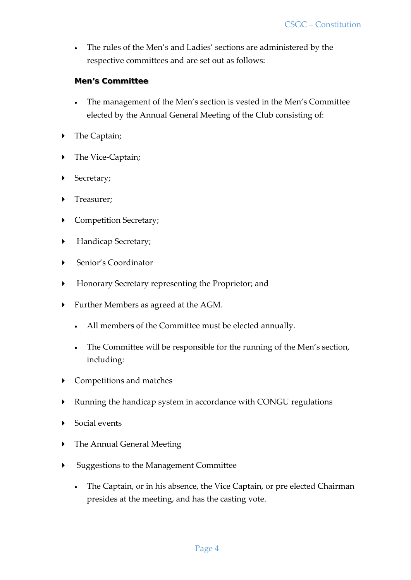• The rules of the Men's and Ladies' sections are administered by the respective committees and are set out as follows:

#### <span id="page-5-0"></span>**Men's Committee**

- The management of the Men's section is vested in the Men's Committee elected by the Annual General Meeting of the Club consisting of:
- ▶ The Captain;
- The Vice-Captain;
- ▶ Secretary;
- ▶ Treasurer;
- **Competition Secretary;**
- Handicap Secretary;
- Senior's Coordinator
- Honorary Secretary representing the Proprietor; and
- Further Members as agreed at the AGM.
	- All members of the Committee must be elected annually.
	- The Committee will be responsible for the running of the Men's section, including:
- Competitions and matches
- Running the handicap system in accordance with CONGU regulations
- ▶ Social events
- The Annual General Meeting
- Suggestions to the Management Committee
	- The Captain, or in his absence, the Vice Captain, or pre elected Chairman presides at the meeting, and has the casting vote.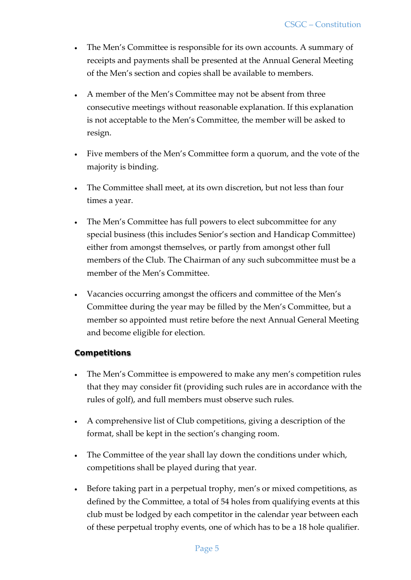- The Men's Committee is responsible for its own accounts. A summary of receipts and payments shall be presented at the Annual General Meeting of the Men's section and copies shall be available to members.
- A member of the Men's Committee may not be absent from three consecutive meetings without reasonable explanation. If this explanation is not acceptable to the Men's Committee, the member will be asked to resign.
- Five members of the Men's Committee form a quorum, and the vote of the majority is binding.
- The Committee shall meet, at its own discretion, but not less than four times a year.
- The Men's Committee has full powers to elect subcommittee for any special business (this includes Senior's section and Handicap Committee) either from amongst themselves, or partly from amongst other full members of the Club. The Chairman of any such subcommittee must be a member of the Men's Committee.
- Vacancies occurring amongst the officers and committee of the Men's Committee during the year may be filled by the Men's Committee, but a member so appointed must retire before the next Annual General Meeting and become eligible for election.

#### <span id="page-6-0"></span>**Competitions**

- The Men's Committee is empowered to make any men's competition rules that they may consider fit (providing such rules are in accordance with the rules of golf), and full members must observe such rules.
- A comprehensive list of Club competitions, giving a description of the format, shall be kept in the section's changing room.
- The Committee of the year shall lay down the conditions under which, competitions shall be played during that year.
- Before taking part in a perpetual trophy, men's or mixed competitions, as defined by the Committee, a total of 54 holes from qualifying events at this club must be lodged by each competitor in the calendar year between each of these perpetual trophy events, one of which has to be a 18 hole qualifier.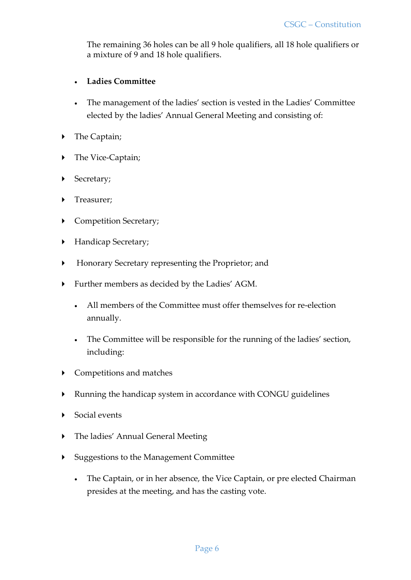<span id="page-7-0"></span>The remaining 36 holes can be all 9 hole qualifiers, all 18 hole qualifiers or a mixture of 9 and 18 hole qualifiers.

#### • **Ladies Committee**

- The management of the ladies' section is vested in the Ladies' Committee elected by the ladies' Annual General Meeting and consisting of:
- ▶ The Captain;
- The Vice-Captain;
- Secretary;
- Treasurer;
- **Competition Secretary;**
- Handicap Secretary;
- Honorary Secretary representing the Proprietor; and
- Further members as decided by the Ladies' AGM.
	- All members of the Committee must offer themselves for re-election annually.
	- The Committee will be responsible for the running of the ladies' section, including:
- Competitions and matches
- Running the handicap system in accordance with CONGU guidelines
- ▶ Social events
- The ladies' Annual General Meeting
- Suggestions to the Management Committee
	- The Captain, or in her absence, the Vice Captain, or pre elected Chairman presides at the meeting, and has the casting vote.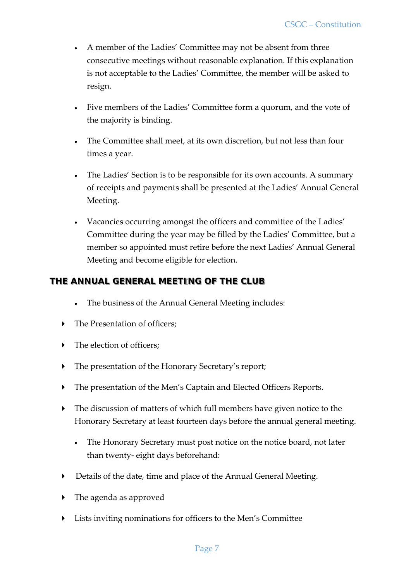- A member of the Ladies' Committee may not be absent from three consecutive meetings without reasonable explanation. If this explanation is not acceptable to the Ladies' Committee, the member will be asked to resign.
- Five members of the Ladies' Committee form a quorum, and the vote of the majority is binding.
- The Committee shall meet, at its own discretion, but not less than four times a year.
- The Ladies' Section is to be responsible for its own accounts. A summary of receipts and payments shall be presented at the Ladies' Annual General Meeting.
- Vacancies occurring amongst the officers and committee of the Ladies' Committee during the year may be filled by the Ladies' Committee, but a member so appointed must retire before the next Ladies' Annual General Meeting and become eligible for election.

#### <span id="page-8-0"></span>**THE ANNUAL GENERAL MEETING OF THE CLUB**

- The business of the Annual General Meeting includes:
- The Presentation of officers;
- The election of officers;
- The presentation of the Honorary Secretary's report;
- The presentation of the Men's Captain and Elected Officers Reports.
- The discussion of matters of which full members have given notice to the Honorary Secretary at least fourteen days before the annual general meeting.
	- The Honorary Secretary must post notice on the notice board, not later than twenty- eight days beforehand:
- Details of the date, time and place of the Annual General Meeting.
- The agenda as approved
- Lists inviting nominations for officers to the Men's Committee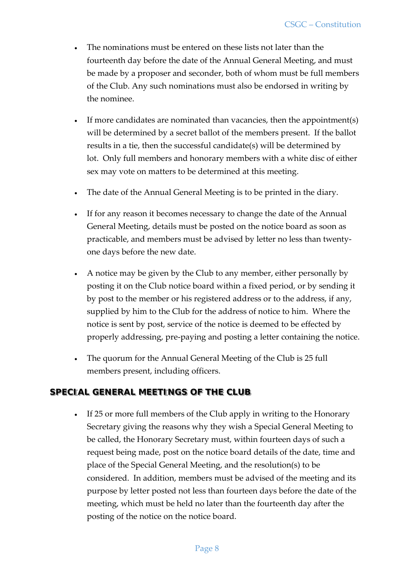- The nominations must be entered on these lists not later than the fourteenth day before the date of the Annual General Meeting, and must be made by a proposer and seconder, both of whom must be full members of the Club. Any such nominations must also be endorsed in writing by the nominee.
- If more candidates are nominated than vacancies, then the appointment(s) will be determined by a secret ballot of the members present. If the ballot results in a tie, then the successful candidate(s) will be determined by lot. Only full members and honorary members with a white disc of either sex may vote on matters to be determined at this meeting.
- The date of the Annual General Meeting is to be printed in the diary.
- If for any reason it becomes necessary to change the date of the Annual General Meeting, details must be posted on the notice board as soon as practicable, and members must be advised by letter no less than twentyone days before the new date.
- A notice may be given by the Club to any member, either personally by posting it on the Club notice board within a fixed period, or by sending it by post to the member or his registered address or to the address, if any, supplied by him to the Club for the address of notice to him. Where the notice is sent by post, service of the notice is deemed to be effected by properly addressing, pre-paying and posting a letter containing the notice.
- The quorum for the Annual General Meeting of the Club is 25 full members present, including officers.

#### <span id="page-9-0"></span>**SPECIAL GENERAL MEETINGS OF THE CLUB**

• If 25 or more full members of the Club apply in writing to the Honorary Secretary giving the reasons why they wish a Special General Meeting to be called, the Honorary Secretary must, within fourteen days of such a request being made, post on the notice board details of the date, time and place of the Special General Meeting, and the resolution(s) to be considered. In addition, members must be advised of the meeting and its purpose by letter posted not less than fourteen days before the date of the meeting, which must be held no later than the fourteenth day after the posting of the notice on the notice board.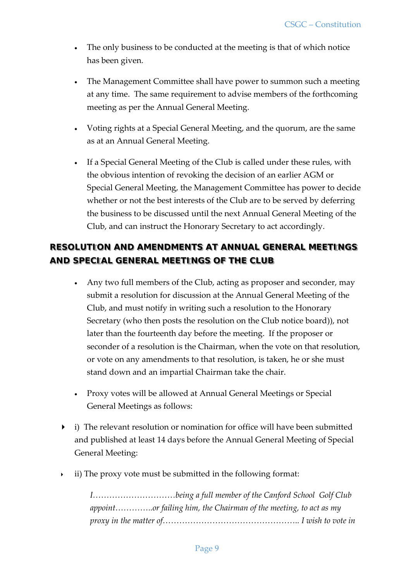- The only business to be conducted at the meeting is that of which notice has been given.
- The Management Committee shall have power to summon such a meeting at any time. The same requirement to advise members of the forthcoming meeting as per the Annual General Meeting.
- Voting rights at a Special General Meeting, and the quorum, are the same as at an Annual General Meeting.
- If a Special General Meeting of the Club is called under these rules, with the obvious intention of revoking the decision of an earlier AGM or Special General Meeting, the Management Committee has power to decide whether or not the best interests of the Club are to be served by deferring the business to be discussed until the next Annual General Meeting of the Club, and can instruct the Honorary Secretary to act accordingly.

### <span id="page-10-0"></span>**RESOLUTION AND AMENDMENTS AT ANNUAL GENERAL MEETINGS AND SPECIAL GENERAL MEETINGS OF THE CLUB**

- Any two full members of the Club, acting as proposer and seconder, may submit a resolution for discussion at the Annual General Meeting of the Club, and must notify in writing such a resolution to the Honorary Secretary (who then posts the resolution on the Club notice board)), not later than the fourteenth day before the meeting. If the proposer or seconder of a resolution is the Chairman, when the vote on that resolution, or vote on any amendments to that resolution, is taken, he or she must stand down and an impartial Chairman take the chair.
- Proxy votes will be allowed at Annual General Meetings or Special General Meetings as follows:
- i) The relevant resolution or nomination for office will have been submitted and published at least 14 days before the Annual General Meeting of Special General Meeting:
- ii) The proxy vote must be submitted in the following format:

*I…………………………being a full member of the Canford School Golf Club appoint…………..or failing him, the Chairman of the meeting, to act as my proxy in the matter of………………………………………….. I wish to vote in*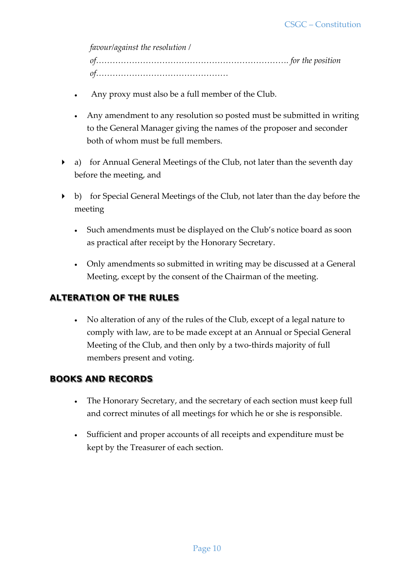*favour/against the resolution / of……………………………………………………………. for the position of…………………………………………*

- Any proxy must also be a full member of the Club.
- Any amendment to any resolution so posted must be submitted in writing to the General Manager giving the names of the proposer and seconder both of whom must be full members.
- a) for Annual General Meetings of the Club, not later than the seventh day before the meeting, and
- b) for Special General Meetings of the Club, not later than the day before the meeting
	- Such amendments must be displayed on the Club's notice board as soon as practical after receipt by the Honorary Secretary.
	- Only amendments so submitted in writing may be discussed at a General Meeting, except by the consent of the Chairman of the meeting.

#### <span id="page-11-0"></span>**ALTERATION OF THE RULES**

• No alteration of any of the rules of the Club, except of a legal nature to comply with law, are to be made except at an Annual or Special General Meeting of the Club, and then only by a two-thirds majority of full members present and voting.

#### <span id="page-11-1"></span>**BOOKS AND RECORDS**

- The Honorary Secretary, and the secretary of each section must keep full and correct minutes of all meetings for which he or she is responsible.
- Sufficient and proper accounts of all receipts and expenditure must be kept by the Treasurer of each section.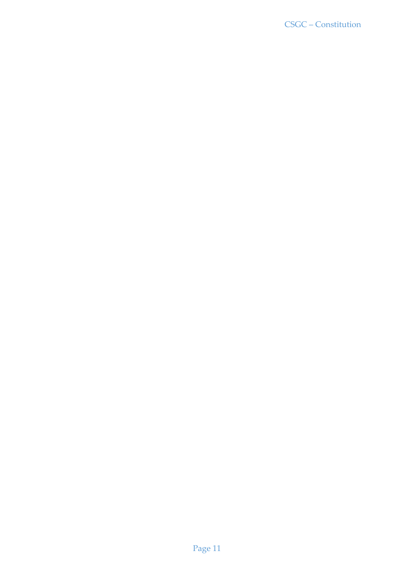#### CSGC – Constitution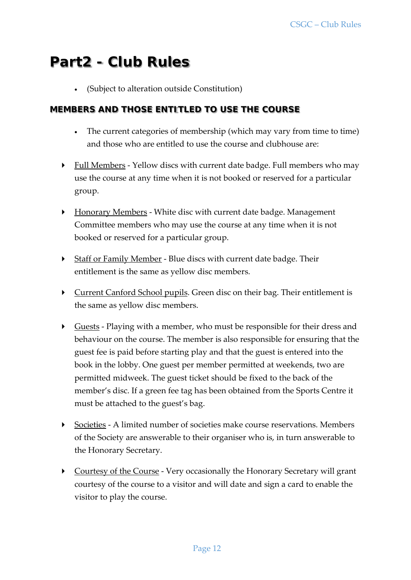### <span id="page-13-0"></span>**Part2 - Club Rules**

• (Subject to alteration outside Constitution)

#### <span id="page-13-1"></span>**MEMBERS AND THOSE ENTITLED TO USE THE COURSE**

- The current categories of membership (which may vary from time to time) and those who are entitled to use the course and clubhouse are:
- Full Members Yellow discs with current date badge. Full members who may use the course at any time when it is not booked or reserved for a particular group.
- Honorary Members White disc with current date badge. Management Committee members who may use the course at any time when it is not booked or reserved for a particular group.
- **Staff or Family Member Blue discs with current date badge. Their** entitlement is the same as yellow disc members.
- **Current Canford School pupils. Green disc on their bag. Their entitlement is** the same as yellow disc members.
- Guests Playing with a member, who must be responsible for their dress and behaviour on the course. The member is also responsible for ensuring that the guest fee is paid before starting play and that the guest is entered into the book in the lobby. One guest per member permitted at weekends, two are permitted midweek. The guest ticket should be fixed to the back of the member's disc. If a green fee tag has been obtained from the Sports Centre it must be attached to the guest's bag.
- Societies A limited number of societies make course reservations. Members of the Society are answerable to their organiser who is, in turn answerable to the Honorary Secretary.
- Courtesy of the Course Very occasionally the Honorary Secretary will grant courtesy of the course to a visitor and will date and sign a card to enable the visitor to play the course.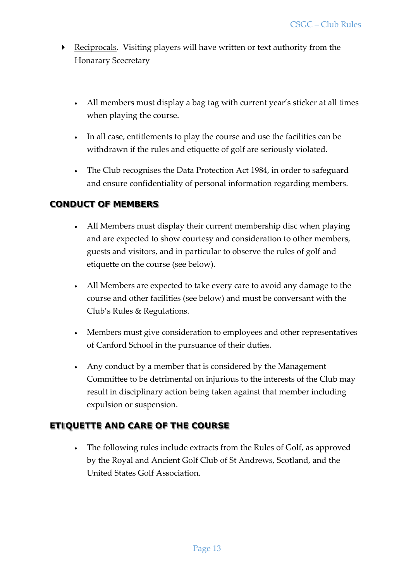- Reciprocals. Visiting players will have written or text authority from the Honarary Scecretary
	- All members must display a bag tag with current year's sticker at all times when playing the course.
	- In all case, entitlements to play the course and use the facilities can be withdrawn if the rules and etiquette of golf are seriously violated.
	- The Club recognises the Data Protection Act 1984, in order to safeguard and ensure confidentiality of personal information regarding members.

#### <span id="page-14-0"></span>**CONDUCT OF MEMBERS**

- All Members must display their current membership disc when playing and are expected to show courtesy and consideration to other members, guests and visitors, and in particular to observe the rules of golf and etiquette on the course (see below).
- All Members are expected to take every care to avoid any damage to the course and other facilities (see below) and must be conversant with the Club's Rules & Regulations.
- Members must give consideration to employees and other representatives of Canford School in the pursuance of their duties.
- Any conduct by a member that is considered by the Management Committee to be detrimental on injurious to the interests of the Club may result in disciplinary action being taken against that member including expulsion or suspension.

#### <span id="page-14-1"></span>**ETIQUETTE AND CARE OF THE COURSE**

The following rules include extracts from the Rules of Golf, as approved by the Royal and Ancient Golf Club of St Andrews, Scotland, and the United States Golf Association.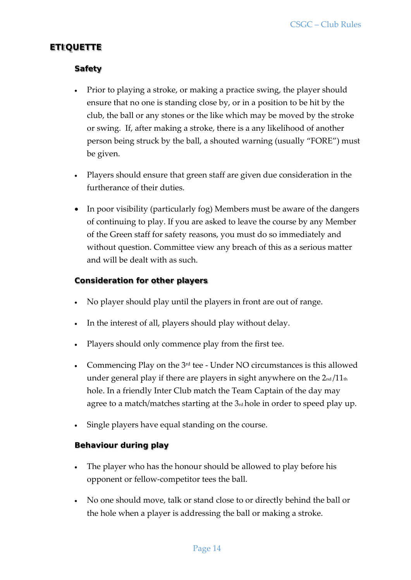#### <span id="page-15-1"></span><span id="page-15-0"></span>**ETIQUETTE**

#### **Safety**

- Prior to playing a stroke, or making a practice swing, the player should ensure that no one is standing close by, or in a position to be hit by the club, the ball or any stones or the like which may be moved by the stroke or swing. If, after making a stroke, there is a any likelihood of another person being struck by the ball, a shouted warning (usually "FORE") must be given.
- Players should ensure that green staff are given due consideration in the furtherance of their duties.
- In poor visibility (particularly fog) Members must be aware of the dangers of continuing to play. If you are asked to leave the course by any Member of the Green staff for safety reasons, you must do so immediately and without question. Committee view any breach of this as a serious matter and will be dealt with as such.

#### <span id="page-15-2"></span>**Consideration for other players**

- No player should play until the players in front are out of range.
- In the interest of all, players should play without delay.
- Players should only commence play from the first tee.
- Commencing Play on the  $3^{rd}$  tee Under NO circumstances is this allowed under general play if there are players in sight anywhere on the  $2<sub>nd</sub>/11<sub>th</sub>$ hole. In a friendly Inter Club match the Team Captain of the day may agree to a match/matches starting at the 3rd hole in order to speed play up.
- Single players have equal standing on the course.

#### <span id="page-15-3"></span>**Behaviour during play**

- The player who has the honour should be allowed to play before his opponent or fellow-competitor tees the ball.
- No one should move, talk or stand close to or directly behind the ball or the hole when a player is addressing the ball or making a stroke.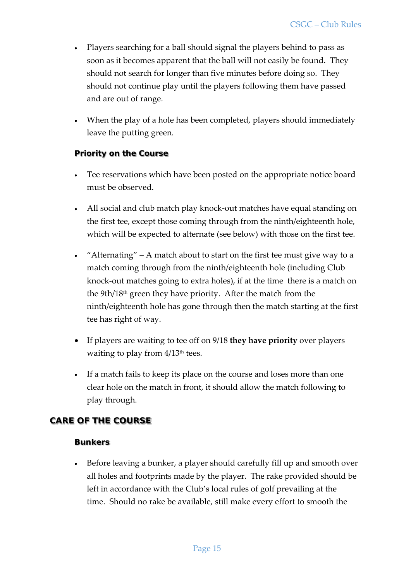- Players searching for a ball should signal the players behind to pass as soon as it becomes apparent that the ball will not easily be found. They should not search for longer than five minutes before doing so. They should not continue play until the players following them have passed and are out of range.
- When the play of a hole has been completed, players should immediately leave the putting green.

#### <span id="page-16-0"></span>**Priority on the Course**

- Tee reservations which have been posted on the appropriate notice board must be observed.
- All social and club match play knock-out matches have equal standing on the first tee, except those coming through from the ninth/eighteenth hole, which will be expected to alternate (see below) with those on the first tee.
- "Alternating" A match about to start on the first tee must give way to a match coming through from the ninth/eighteenth hole (including Club knock-out matches going to extra holes), if at the time there is a match on the 9th/18th green they have priority. After the match from the ninth/eighteenth hole has gone through then the match starting at the first tee has right of way.
- If players are waiting to tee off on 9/18 **they have priority** over players waiting to play from  $4/13$ <sup>th</sup> tees.
- If a match fails to keep its place on the course and loses more than one clear hole on the match in front, it should allow the match following to play through.

#### <span id="page-16-2"></span><span id="page-16-1"></span>**CARE OF THE COURSE**

#### **Bunkers**

• Before leaving a bunker, a player should carefully fill up and smooth over all holes and footprints made by the player. The rake provided should be left in accordance with the Club's local rules of golf prevailing at the time. Should no rake be available, still make every effort to smooth the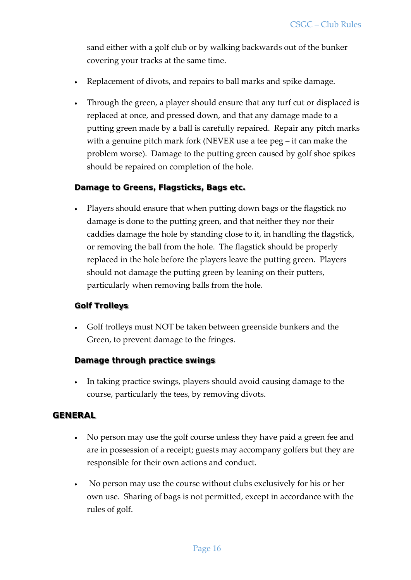sand either with a golf club or by walking backwards out of the bunker covering your tracks at the same time.

- Replacement of divots, and repairs to ball marks and spike damage.
- Through the green, a player should ensure that any turf cut or displaced is replaced at once, and pressed down, and that any damage made to a putting green made by a ball is carefully repaired. Repair any pitch marks with a genuine pitch mark fork (NEVER use a tee peg – it can make the problem worse). Damage to the putting green caused by golf shoe spikes should be repaired on completion of the hole.

#### <span id="page-17-0"></span>**Damage to Greens, Flagsticks, Bags etc.**

• Players should ensure that when putting down bags or the flagstick no damage is done to the putting green, and that neither they nor their caddies damage the hole by standing close to it, in handling the flagstick, or removing the ball from the hole. The flagstick should be properly replaced in the hole before the players leave the putting green. Players should not damage the putting green by leaning on their putters, particularly when removing balls from the hole.

#### <span id="page-17-1"></span>**Golf Trolleys**

• Golf trolleys must NOT be taken between greenside bunkers and the Green, to prevent damage to the fringes.

#### <span id="page-17-2"></span>**Damage through practice swings**

• In taking practice swings, players should avoid causing damage to the course, particularly the tees, by removing divots.

#### <span id="page-17-3"></span>**GENERAL**

- No person may use the golf course unless they have paid a green fee and are in possession of a receipt; guests may accompany golfers but they are responsible for their own actions and conduct.
- No person may use the course without clubs exclusively for his or her own use. Sharing of bags is not permitted, except in accordance with the rules of golf.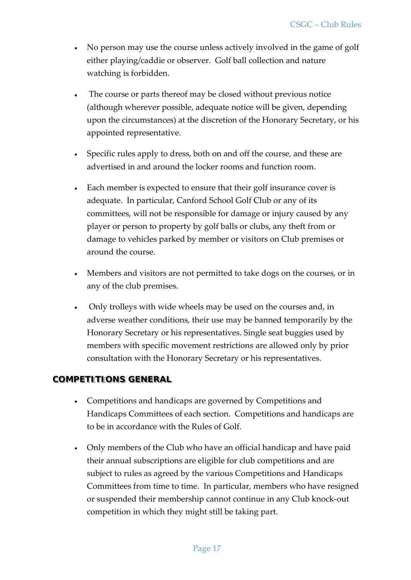- No person may use the course unless actively involved in the game of golf either playing/caddie or observer. Golf ball collection and nature watching is forbidden.
- The course or parts thereof may be closed without previous notice (although wherever possible, adequate notice will be given, depending upon the circumstances) at the discretion of the Honorary Secretary, or his appointed representative.
- Specific rules apply to dress, both on and off the course, and these are advertised in and around the locker rooms and function room.
- Each member is expected to ensure that their golf insurance cover is adequate. In particular, Canford School Golf Club or any of its committees, will not be responsible for damage or injury caused by any player or person to property by golf balls or clubs, any theft from or damage to vehicles parked by member or visitors on Club premises or around the course.
- Members and visitors are not permitted to take dogs on the courses, or in any of the club premises.
- Only trolleys with wide wheels may be used on the courses and, in adverse weather conditions, their use may be banned temporarily by the Honorary Secretary or his representatives. Single seat buggies used by members with specific movement restrictions are allowed only by prior consultation with the Honorary Secretary or his representatives.

#### <span id="page-18-0"></span>**COMPETITIONS GENERAL**

- Competitions and handicaps are governed by Competitions and Handicaps Committees of each section. Competitions and handicaps are to be in accordance with the Rules of Golf.
- Only members of the Club who have an official handicap and have paid their annual subscriptions are eligible for club competitions and are subject to rules as agreed by the various Competitions and Handicaps Committees from time to time. In particular, members who have resigned or suspended their membership cannot continue in any Club knock-out competition in which they might still be taking part.